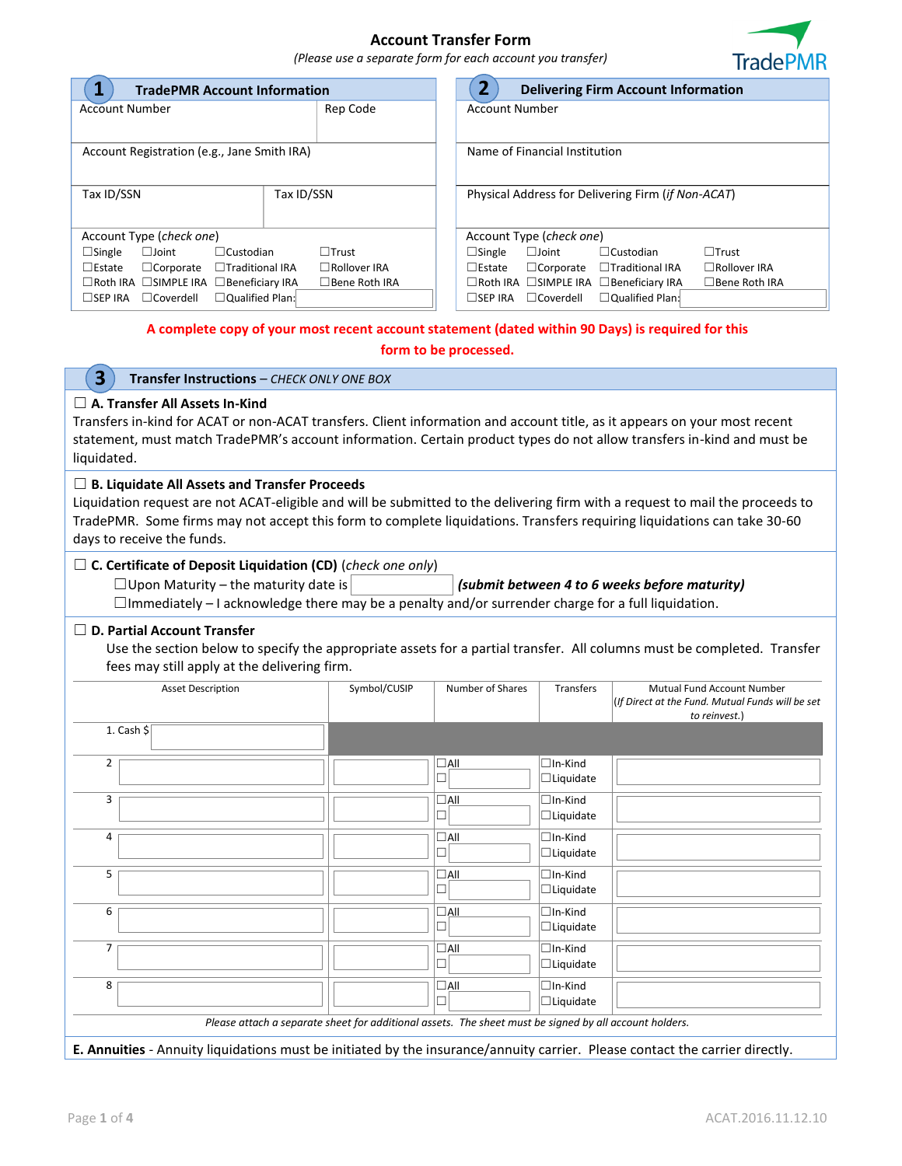### **Account Transfer Form**



*(Please use a separate form for each account you transfer)*

| <b>TradePMR Account Information</b>                            |                     | $\overline{2}$<br><b>Delivering Firm Account Information</b>                                      |  |  |
|----------------------------------------------------------------|---------------------|---------------------------------------------------------------------------------------------------|--|--|
| Rep Code<br><b>Account Number</b>                              |                     | <b>Account Number</b>                                                                             |  |  |
|                                                                |                     |                                                                                                   |  |  |
| Account Registration (e.g., Jane Smith IRA)                    |                     | Name of Financial Institution                                                                     |  |  |
|                                                                |                     |                                                                                                   |  |  |
| Tax ID/SSN<br>Tax ID/SSN                                       |                     | Physical Address for Delivering Firm ( <i>if Non-ACAT</i> )                                       |  |  |
|                                                                |                     |                                                                                                   |  |  |
| Account Type (check one)                                       |                     | Account Type (check one)                                                                          |  |  |
| $\Box$ Single<br>$\Box$ Joint<br>$\Box$ Custodian              | $\Box$ Trust        | $\Box$ Trust<br>$\Box$ Single<br>$\Box$ Custodian<br>$\square$ Joint                              |  |  |
| $\Box$ Estate<br>$\Box$ Traditional IRA<br>$\Box$ Corporate    | $\Box$ Rollover IRA | $\Box$ Estate<br>$\Box$ Corporate<br>$\Box$ Traditional IRA<br>$\Box$ Rollover IRA                |  |  |
| □Roth IRA □SIMPLE IRA □Beneficiary IRA<br>$\Box$ Bene Roth IRA |                     | □Roth IRA □SIMPLE IRA □Beneficiary IRA<br>$\Box$ Bene Roth IRA                                    |  |  |
| $\Box$ Qualified Plan:<br>$\Box$ SEP IRA<br>$\Box$ Coverdell   |                     | $\Box$ Qualified Plan:<br>$\Box$ Coverdell<br>$\Box$ SEP IRA                                      |  |  |
|                                                                |                     | A complete convict your most recent account statement (dated within 90 Days) is required for this |  |  |

**ount statement (dated within 90 Days) is required for this** 

| form to be processed.                                                                                                                                                                                                                                                                                                                          |              |                  |                                    |                                                                                                 |  |  |  |
|------------------------------------------------------------------------------------------------------------------------------------------------------------------------------------------------------------------------------------------------------------------------------------------------------------------------------------------------|--------------|------------------|------------------------------------|-------------------------------------------------------------------------------------------------|--|--|--|
| $\overline{\mathbf{3}}$<br>Transfer Instructions - CHECK ONLY ONE BOX                                                                                                                                                                                                                                                                          |              |                  |                                    |                                                                                                 |  |  |  |
| $\Box$ A. Transfer All Assets In-Kind<br>Transfers in-kind for ACAT or non-ACAT transfers. Client information and account title, as it appears on your most recent<br>statement, must match TradePMR's account information. Certain product types do not allow transfers in-kind and must be<br>liquidated.                                    |              |                  |                                    |                                                                                                 |  |  |  |
| $\Box$ B. Liquidate All Assets and Transfer Proceeds<br>Liquidation request are not ACAT-eligible and will be submitted to the delivering firm with a request to mail the proceeds to<br>TradePMR. Some firms may not accept this form to complete liquidations. Transfers requiring liquidations can take 30-60<br>days to receive the funds. |              |                  |                                    |                                                                                                 |  |  |  |
| $\Box$ C. Certificate of Deposit Liquidation (CD) (check one only)<br>$\Box$ Upon Maturity – the maturity date is<br>(submit between 4 to 6 weeks before maturity)<br>$\Box$ Immediately – I acknowledge there may be a penalty and/or surrender charge for a full liquidation.                                                                |              |                  |                                    |                                                                                                 |  |  |  |
| $\Box$ D. Partial Account Transfer<br>Use the section below to specify the appropriate assets for a partial transfer. All columns must be completed. Transfer<br>fees may still apply at the delivering firm.                                                                                                                                  |              |                  |                                    |                                                                                                 |  |  |  |
| <b>Asset Description</b>                                                                                                                                                                                                                                                                                                                       | Symbol/CUSIP | Number of Shares | <b>Transfers</b>                   | Mutual Fund Account Number<br>(If Direct at the Fund. Mutual Funds will be set<br>to reinvest.) |  |  |  |
| 1. Cash $$$                                                                                                                                                                                                                                                                                                                                    |              |                  |                                    |                                                                                                 |  |  |  |
| $\overline{2}$                                                                                                                                                                                                                                                                                                                                 |              | $\Box$ All<br>П  | $\Box$ In-Kind<br>$\Box$ Liquidate |                                                                                                 |  |  |  |
| 3                                                                                                                                                                                                                                                                                                                                              |              | $\Box$ All       | $\Box$ In-Kind<br>$\Box$ Liquidate |                                                                                                 |  |  |  |
| 4                                                                                                                                                                                                                                                                                                                                              |              | $\Box$ All<br>П  | $\Box$ In-Kind<br>$\Box$ Liquidate |                                                                                                 |  |  |  |
| 5                                                                                                                                                                                                                                                                                                                                              |              | $\Box$ All       | $\Box$ In-Kind<br>$\Box$ Liquidate |                                                                                                 |  |  |  |
| 6                                                                                                                                                                                                                                                                                                                                              |              | $\Box$ All<br>П  | $\Box$ In-Kind<br>$\Box$ Liquidate |                                                                                                 |  |  |  |

☐

☐

**E. Annuities** - Annuity liquidations must be initiated by the insurance/annuity carrier. Please contact the carrier directly.

*Please attach a separate sheet for additional assets. The sheet must be signed by all account holders.* 

☐In-Kind ☐Liquidate

 $\square$ In-Kind ☐Liquidate

7 ☐All

8 ☐All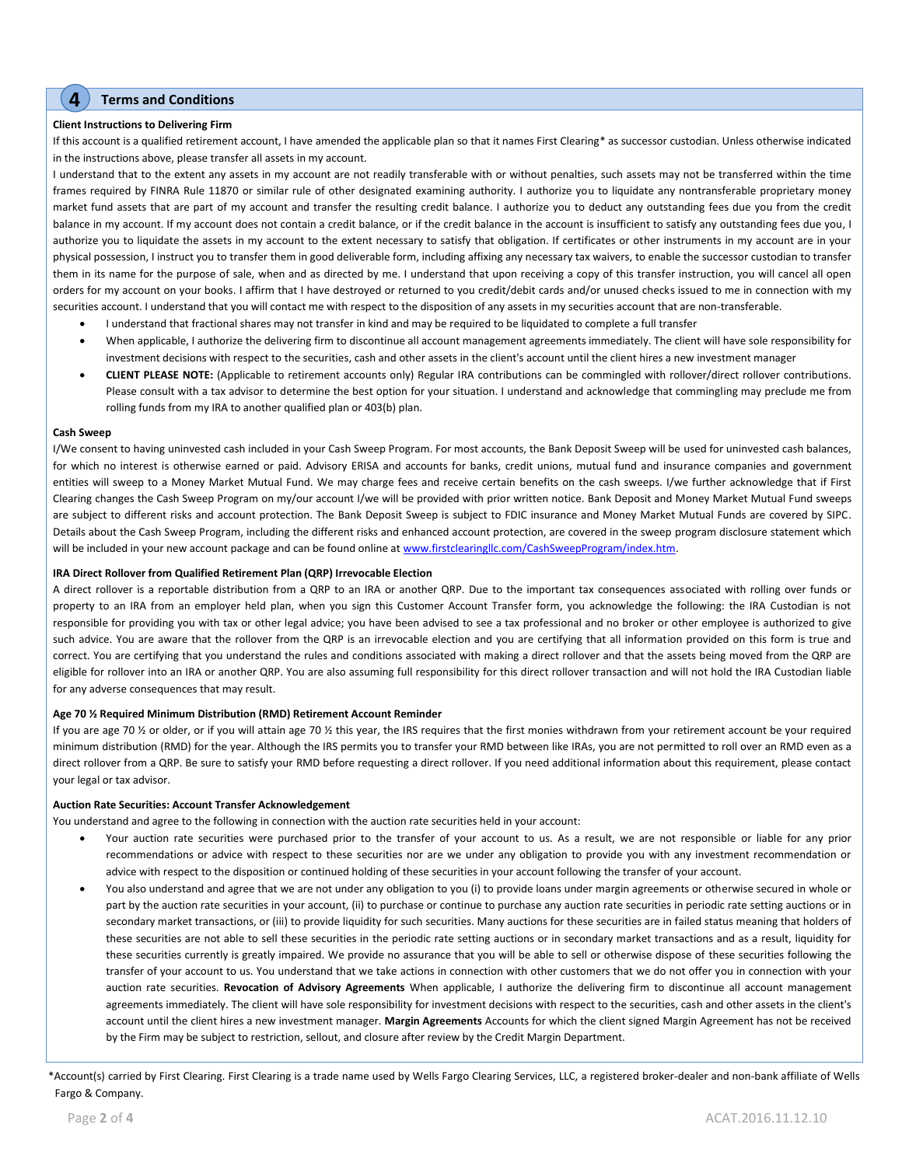### **4 Terms and Conditions**

#### **Client Instructions to Delivering Firm**

If this account is a qualified retirement account, I have amended the applicable plan so that it names First Clearing\* as successor custodian. Unless otherwise indicated in the instructions above, please transfer all assets in my account.

I understand that to the extent any assets in my account are not readily transferable with or without penalties, such assets may not be transferred within the time frames required by FINRA Rule 11870 or similar rule of other designated examining authority. I authorize you to liquidate any nontransferable proprietary money market fund assets that are part of my account and transfer the resulting credit balance. I authorize you to deduct any outstanding fees due you from the credit balance in my account. If my account does not contain a credit balance, or if the credit balance in the account is insufficient to satisfy any outstanding fees due you, I authorize you to liquidate the assets in my account to the extent necessary to satisfy that obligation. If certificates or other instruments in my account are in your physical possession, I instruct you to transfer them in good deliverable form, including affixing any necessary tax waivers, to enable the successor custodian to transfer them in its name for the purpose of sale, when and as directed by me. I understand that upon receiving a copy of this transfer instruction, you will cancel all open orders for my account on your books. I affirm that I have destroyed or returned to you credit/debit cards and/or unused checks issued to me in connection with my securities account. I understand that you will contact me with respect to the disposition of any assets in my securities account that are non-transferable.

- I understand that fractional shares may not transfer in kind and may be required to be liquidated to complete a full transfer
- When applicable, I authorize the delivering firm to discontinue all account management agreements immediately. The client will have sole responsibility for investment decisions with respect to the securities, cash and other assets in the client's account until the client hires a new investment manager
- **CLIENT PLEASE NOTE:** (Applicable to retirement accounts only) Regular IRA contributions can be commingled with rollover/direct rollover contributions. Please consult with a tax advisor to determine the best option for your situation. I understand and acknowledge that commingling may preclude me from rolling funds from my IRA to another qualified plan or 403(b) plan.

#### **Cash Sweep**

I/We consent to having uninvested cash included in your Cash Sweep Program. For most accounts, the Bank Deposit Sweep will be used for uninvested cash balances, for which no interest is otherwise earned or paid. Advisory ERISA and accounts for banks, credit unions, mutual fund and insurance companies and government entities will sweep to a Money Market Mutual Fund. We may charge fees and receive certain benefits on the cash sweeps. I/we further acknowledge that if First Clearing changes the Cash Sweep Program on my/our account I/we will be provided with prior written notice. Bank Deposit and Money Market Mutual Fund sweeps are subject to different risks and account protection. The Bank Deposit Sweep is subject to FDIC insurance and Money Market Mutual Funds are covered by SIPC. Details about the Cash Sweep Program, including the different risks and enhanced account protection, are covered in the sweep program disclosure statement which will be included in your new account package and can be found online at www.firstclearingllc.com/CashSweepProgram/index.htm.

#### **IRA Direct Rollover from Qualified Retirement Plan (QRP) Irrevocable Election**

A direct rollover is a reportable distribution from a QRP to an IRA or another QRP. Due to the important tax consequences associated with rolling over funds or property to an IRA from an employer held plan, when you sign this Customer Account Transfer form, you acknowledge the following: the IRA Custodian is not responsible for providing you with tax or other legal advice; you have been advised to see a tax professional and no broker or other employee is authorized to give such advice. You are aware that the rollover from the QRP is an irrevocable election and you are certifying that all information provided on this form is true and correct. You are certifying that you understand the rules and conditions associated with making a direct rollover and that the assets being moved from the QRP are eligible for rollover into an IRA or another QRP. You are also assuming full responsibility for this direct rollover transaction and will not hold the IRA Custodian liable for any adverse consequences that may result.

#### **Age 70 ½ Required Minimum Distribution (RMD) Retirement Account Reminder**

If you are age 70 % or older, or if you will attain age 70 % this year, the IRS requires that the first monies withdrawn from your retirement account be your required minimum distribution (RMD) for the year. Although the IRS permits you to transfer your RMD between like IRAs, you are not permitted to roll over an RMD even as a direct rollover from a QRP. Be sure to satisfy your RMD before requesting a direct rollover. If you need additional information about this requirement, please contact your legal or tax advisor.

#### **Auction Rate Securities: Account Transfer Acknowledgement**

You understand and agree to the following in connection with the auction rate securities held in your account:

- Your auction rate securities were purchased prior to the transfer of your account to us. As a result, we are not responsible or liable for any prior recommendations or advice with respect to these securities nor are we under any obligation to provide you with any investment recommendation or advice with respect to the disposition or continued holding of these securities in your account following the transfer of your account.
- You also understand and agree that we are not under any obligation to you (i) to provide loans under margin agreements or otherwise secured in whole or part by the auction rate securities in your account, (ii) to purchase or continue to purchase any auction rate securities in periodic rate setting auctions or in secondary market transactions, or (iii) to provide liquidity for such securities. Many auctions for these securities are in failed status meaning that holders of these securities are not able to sell these securities in the periodic rate setting auctions or in secondary market transactions and as a result, liquidity for these securities currently is greatly impaired. We provide no assurance that you will be able to sell or otherwise dispose of these securities following the transfer of your account to us. You understand that we take actions in connection with other customers that we do not offer you in connection with your auction rate securities. **Revocation of Advisory Agreements** When applicable, I authorize the delivering firm to discontinue all account management agreements immediately. The client will have sole responsibility for investment decisions with respect to the securities, cash and other assets in the client's account until the client hires a new investment manager. **Margin Agreements** Accounts for which the client signed Margin Agreement has not be received by the Firm may be subject to restriction, sellout, and closure after review by the Credit Margin Department.

\*Account(s) carried by First Clearing. First Clearing is a trade name used by Wells Fargo Clearing Services, LLC, a registered broker-dealer and non-bank affiliate of Wells Fargo & Company.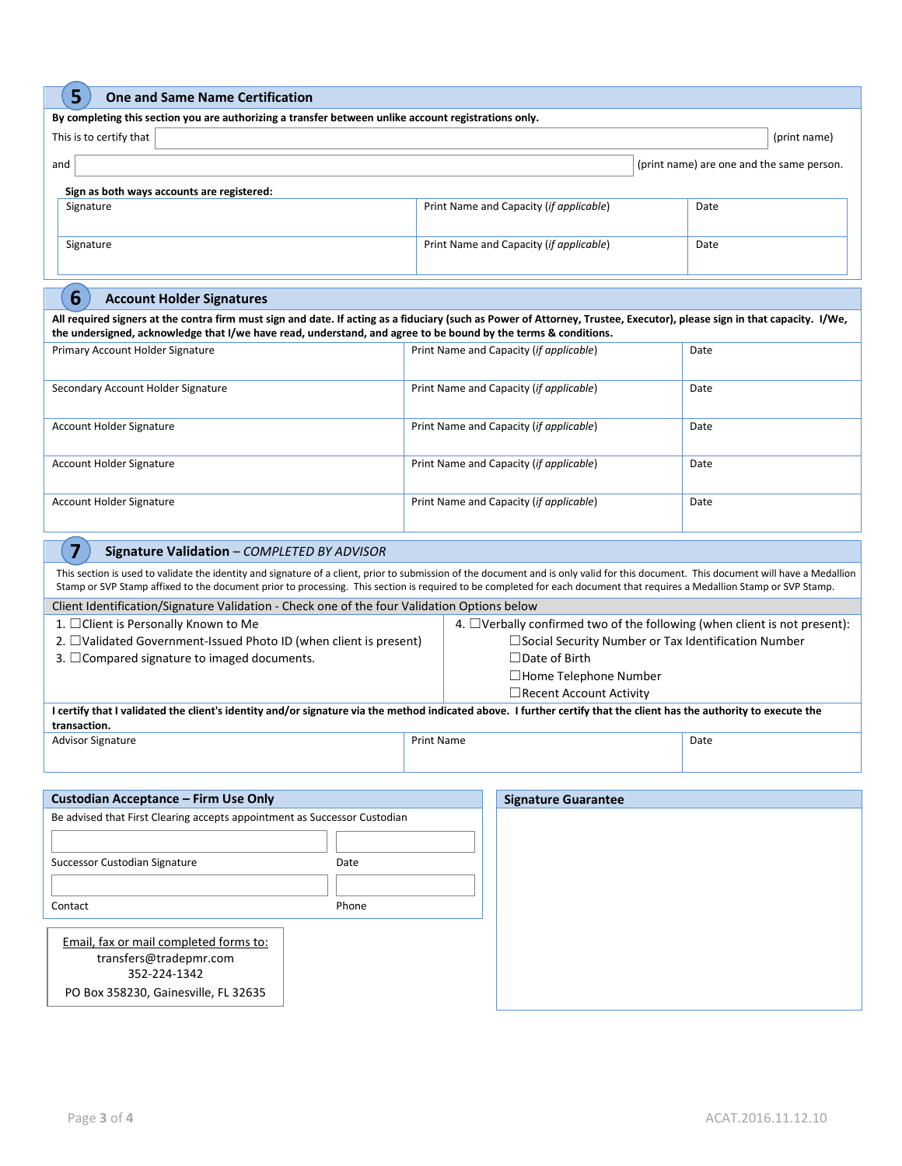# **5 One and Same Name Certification**

| By completing this section you are authorizing a transfer between unlike account registrations only.<br>This is to certify that<br>(print name)<br>and<br>(print name) are one and the same person.<br>Sign as both ways accounts are registered:<br>Print Name and Capacity (if applicable)<br>Signature<br>Date<br>Print Name and Capacity (if applicable)<br>Signature<br>Date<br>6<br><b>Account Holder Signatures</b><br>All required signers at the contra firm must sign and date. If acting as a fiduciary (such as Power of Attorney, Trustee, Executor), please sign in that capacity. I/We,<br>the undersigned, acknowledge that I/we have read, understand, and agree to be bound by the terms & conditions.<br>Primary Account Holder Signature<br>Print Name and Capacity (if applicable)<br>Date<br>Secondary Account Holder Signature<br>Print Name and Capacity (if applicable)<br>Date<br><b>Account Holder Signature</b><br>Print Name and Capacity (if applicable)<br>Date<br>Account Holder Signature<br>Print Name and Capacity (if applicable)<br>Date<br>Account Holder Signature<br>Print Name and Capacity (if applicable)<br>Date<br>$\overline{\mathbf{z}}$<br>Signature Validation - COMPLETED BY ADVISOR<br>Stamp or SVP Stamp affixed to the document prior to processing. This section is required to be completed for each document that requires a Medallion Stamp or SVP Stamp.<br>Client Identification/Signature Validation - Check one of the four Validation Options below<br>1. □ Client is Personally Known to Me<br>4. $\Box$ Verbally confirmed two of the following (when client is not present):<br>2. □Validated Government-Issued Photo ID (when client is present)<br>□ Social Security Number or Tax Identification Number<br>$\Box$ Date of Birth<br>3. $\Box$ Compared signature to imaged documents.<br>$\Box$ Home Telephone Number<br>$\Box$ Recent Account Activity<br>I certify that I validated the client's identity and/or signature via the method indicated above. I further certify that the client has the authority to execute the<br>transaction.<br><b>Print Name</b><br><b>Advisor Signature</b><br>Date<br>Custodian Acceptance - Firm Use Only<br><b>Signature Guarantee</b><br>Be advised that First Clearing accepts appointment as Successor Custodian<br>Successor Custodian Signature<br>Date<br>Phone<br>Contact<br>Email, fax or mail completed forms to:<br>transfers@tradepmr.com<br>352-224-1342<br>PO Box 358230, Gainesville, FL 32635 | Э<br>One and same Name Certification                                                                                                                                                  |  |  |  |  |  |
|-------------------------------------------------------------------------------------------------------------------------------------------------------------------------------------------------------------------------------------------------------------------------------------------------------------------------------------------------------------------------------------------------------------------------------------------------------------------------------------------------------------------------------------------------------------------------------------------------------------------------------------------------------------------------------------------------------------------------------------------------------------------------------------------------------------------------------------------------------------------------------------------------------------------------------------------------------------------------------------------------------------------------------------------------------------------------------------------------------------------------------------------------------------------------------------------------------------------------------------------------------------------------------------------------------------------------------------------------------------------------------------------------------------------------------------------------------------------------------------------------------------------------------------------------------------------------------------------------------------------------------------------------------------------------------------------------------------------------------------------------------------------------------------------------------------------------------------------------------------------------------------------------------------------------------------------------------------------------------------------------------------------------------------------------------------------------------------------------------------------------------------------------------------------------------------------------------------------------------------------------------------------------------------------------------------------------------------------------------------------------------------------------------------------------------------------------------------------------------------------------------------------------|---------------------------------------------------------------------------------------------------------------------------------------------------------------------------------------|--|--|--|--|--|
|                                                                                                                                                                                                                                                                                                                                                                                                                                                                                                                                                                                                                                                                                                                                                                                                                                                                                                                                                                                                                                                                                                                                                                                                                                                                                                                                                                                                                                                                                                                                                                                                                                                                                                                                                                                                                                                                                                                                                                                                                                                                                                                                                                                                                                                                                                                                                                                                                                                                                                                         |                                                                                                                                                                                       |  |  |  |  |  |
|                                                                                                                                                                                                                                                                                                                                                                                                                                                                                                                                                                                                                                                                                                                                                                                                                                                                                                                                                                                                                                                                                                                                                                                                                                                                                                                                                                                                                                                                                                                                                                                                                                                                                                                                                                                                                                                                                                                                                                                                                                                                                                                                                                                                                                                                                                                                                                                                                                                                                                                         |                                                                                                                                                                                       |  |  |  |  |  |
|                                                                                                                                                                                                                                                                                                                                                                                                                                                                                                                                                                                                                                                                                                                                                                                                                                                                                                                                                                                                                                                                                                                                                                                                                                                                                                                                                                                                                                                                                                                                                                                                                                                                                                                                                                                                                                                                                                                                                                                                                                                                                                                                                                                                                                                                                                                                                                                                                                                                                                                         |                                                                                                                                                                                       |  |  |  |  |  |
|                                                                                                                                                                                                                                                                                                                                                                                                                                                                                                                                                                                                                                                                                                                                                                                                                                                                                                                                                                                                                                                                                                                                                                                                                                                                                                                                                                                                                                                                                                                                                                                                                                                                                                                                                                                                                                                                                                                                                                                                                                                                                                                                                                                                                                                                                                                                                                                                                                                                                                                         |                                                                                                                                                                                       |  |  |  |  |  |
|                                                                                                                                                                                                                                                                                                                                                                                                                                                                                                                                                                                                                                                                                                                                                                                                                                                                                                                                                                                                                                                                                                                                                                                                                                                                                                                                                                                                                                                                                                                                                                                                                                                                                                                                                                                                                                                                                                                                                                                                                                                                                                                                                                                                                                                                                                                                                                                                                                                                                                                         |                                                                                                                                                                                       |  |  |  |  |  |
|                                                                                                                                                                                                                                                                                                                                                                                                                                                                                                                                                                                                                                                                                                                                                                                                                                                                                                                                                                                                                                                                                                                                                                                                                                                                                                                                                                                                                                                                                                                                                                                                                                                                                                                                                                                                                                                                                                                                                                                                                                                                                                                                                                                                                                                                                                                                                                                                                                                                                                                         |                                                                                                                                                                                       |  |  |  |  |  |
|                                                                                                                                                                                                                                                                                                                                                                                                                                                                                                                                                                                                                                                                                                                                                                                                                                                                                                                                                                                                                                                                                                                                                                                                                                                                                                                                                                                                                                                                                                                                                                                                                                                                                                                                                                                                                                                                                                                                                                                                                                                                                                                                                                                                                                                                                                                                                                                                                                                                                                                         |                                                                                                                                                                                       |  |  |  |  |  |
|                                                                                                                                                                                                                                                                                                                                                                                                                                                                                                                                                                                                                                                                                                                                                                                                                                                                                                                                                                                                                                                                                                                                                                                                                                                                                                                                                                                                                                                                                                                                                                                                                                                                                                                                                                                                                                                                                                                                                                                                                                                                                                                                                                                                                                                                                                                                                                                                                                                                                                                         |                                                                                                                                                                                       |  |  |  |  |  |
|                                                                                                                                                                                                                                                                                                                                                                                                                                                                                                                                                                                                                                                                                                                                                                                                                                                                                                                                                                                                                                                                                                                                                                                                                                                                                                                                                                                                                                                                                                                                                                                                                                                                                                                                                                                                                                                                                                                                                                                                                                                                                                                                                                                                                                                                                                                                                                                                                                                                                                                         |                                                                                                                                                                                       |  |  |  |  |  |
|                                                                                                                                                                                                                                                                                                                                                                                                                                                                                                                                                                                                                                                                                                                                                                                                                                                                                                                                                                                                                                                                                                                                                                                                                                                                                                                                                                                                                                                                                                                                                                                                                                                                                                                                                                                                                                                                                                                                                                                                                                                                                                                                                                                                                                                                                                                                                                                                                                                                                                                         |                                                                                                                                                                                       |  |  |  |  |  |
|                                                                                                                                                                                                                                                                                                                                                                                                                                                                                                                                                                                                                                                                                                                                                                                                                                                                                                                                                                                                                                                                                                                                                                                                                                                                                                                                                                                                                                                                                                                                                                                                                                                                                                                                                                                                                                                                                                                                                                                                                                                                                                                                                                                                                                                                                                                                                                                                                                                                                                                         |                                                                                                                                                                                       |  |  |  |  |  |
|                                                                                                                                                                                                                                                                                                                                                                                                                                                                                                                                                                                                                                                                                                                                                                                                                                                                                                                                                                                                                                                                                                                                                                                                                                                                                                                                                                                                                                                                                                                                                                                                                                                                                                                                                                                                                                                                                                                                                                                                                                                                                                                                                                                                                                                                                                                                                                                                                                                                                                                         |                                                                                                                                                                                       |  |  |  |  |  |
|                                                                                                                                                                                                                                                                                                                                                                                                                                                                                                                                                                                                                                                                                                                                                                                                                                                                                                                                                                                                                                                                                                                                                                                                                                                                                                                                                                                                                                                                                                                                                                                                                                                                                                                                                                                                                                                                                                                                                                                                                                                                                                                                                                                                                                                                                                                                                                                                                                                                                                                         |                                                                                                                                                                                       |  |  |  |  |  |
|                                                                                                                                                                                                                                                                                                                                                                                                                                                                                                                                                                                                                                                                                                                                                                                                                                                                                                                                                                                                                                                                                                                                                                                                                                                                                                                                                                                                                                                                                                                                                                                                                                                                                                                                                                                                                                                                                                                                                                                                                                                                                                                                                                                                                                                                                                                                                                                                                                                                                                                         |                                                                                                                                                                                       |  |  |  |  |  |
|                                                                                                                                                                                                                                                                                                                                                                                                                                                                                                                                                                                                                                                                                                                                                                                                                                                                                                                                                                                                                                                                                                                                                                                                                                                                                                                                                                                                                                                                                                                                                                                                                                                                                                                                                                                                                                                                                                                                                                                                                                                                                                                                                                                                                                                                                                                                                                                                                                                                                                                         |                                                                                                                                                                                       |  |  |  |  |  |
|                                                                                                                                                                                                                                                                                                                                                                                                                                                                                                                                                                                                                                                                                                                                                                                                                                                                                                                                                                                                                                                                                                                                                                                                                                                                                                                                                                                                                                                                                                                                                                                                                                                                                                                                                                                                                                                                                                                                                                                                                                                                                                                                                                                                                                                                                                                                                                                                                                                                                                                         |                                                                                                                                                                                       |  |  |  |  |  |
|                                                                                                                                                                                                                                                                                                                                                                                                                                                                                                                                                                                                                                                                                                                                                                                                                                                                                                                                                                                                                                                                                                                                                                                                                                                                                                                                                                                                                                                                                                                                                                                                                                                                                                                                                                                                                                                                                                                                                                                                                                                                                                                                                                                                                                                                                                                                                                                                                                                                                                                         | This section is used to validate the identity and signature of a client, prior to submission of the document and is only valid for this document. This document will have a Medallion |  |  |  |  |  |
|                                                                                                                                                                                                                                                                                                                                                                                                                                                                                                                                                                                                                                                                                                                                                                                                                                                                                                                                                                                                                                                                                                                                                                                                                                                                                                                                                                                                                                                                                                                                                                                                                                                                                                                                                                                                                                                                                                                                                                                                                                                                                                                                                                                                                                                                                                                                                                                                                                                                                                                         |                                                                                                                                                                                       |  |  |  |  |  |
|                                                                                                                                                                                                                                                                                                                                                                                                                                                                                                                                                                                                                                                                                                                                                                                                                                                                                                                                                                                                                                                                                                                                                                                                                                                                                                                                                                                                                                                                                                                                                                                                                                                                                                                                                                                                                                                                                                                                                                                                                                                                                                                                                                                                                                                                                                                                                                                                                                                                                                                         |                                                                                                                                                                                       |  |  |  |  |  |
|                                                                                                                                                                                                                                                                                                                                                                                                                                                                                                                                                                                                                                                                                                                                                                                                                                                                                                                                                                                                                                                                                                                                                                                                                                                                                                                                                                                                                                                                                                                                                                                                                                                                                                                                                                                                                                                                                                                                                                                                                                                                                                                                                                                                                                                                                                                                                                                                                                                                                                                         |                                                                                                                                                                                       |  |  |  |  |  |
|                                                                                                                                                                                                                                                                                                                                                                                                                                                                                                                                                                                                                                                                                                                                                                                                                                                                                                                                                                                                                                                                                                                                                                                                                                                                                                                                                                                                                                                                                                                                                                                                                                                                                                                                                                                                                                                                                                                                                                                                                                                                                                                                                                                                                                                                                                                                                                                                                                                                                                                         |                                                                                                                                                                                       |  |  |  |  |  |
|                                                                                                                                                                                                                                                                                                                                                                                                                                                                                                                                                                                                                                                                                                                                                                                                                                                                                                                                                                                                                                                                                                                                                                                                                                                                                                                                                                                                                                                                                                                                                                                                                                                                                                                                                                                                                                                                                                                                                                                                                                                                                                                                                                                                                                                                                                                                                                                                                                                                                                                         |                                                                                                                                                                                       |  |  |  |  |  |
|                                                                                                                                                                                                                                                                                                                                                                                                                                                                                                                                                                                                                                                                                                                                                                                                                                                                                                                                                                                                                                                                                                                                                                                                                                                                                                                                                                                                                                                                                                                                                                                                                                                                                                                                                                                                                                                                                                                                                                                                                                                                                                                                                                                                                                                                                                                                                                                                                                                                                                                         |                                                                                                                                                                                       |  |  |  |  |  |
|                                                                                                                                                                                                                                                                                                                                                                                                                                                                                                                                                                                                                                                                                                                                                                                                                                                                                                                                                                                                                                                                                                                                                                                                                                                                                                                                                                                                                                                                                                                                                                                                                                                                                                                                                                                                                                                                                                                                                                                                                                                                                                                                                                                                                                                                                                                                                                                                                                                                                                                         |                                                                                                                                                                                       |  |  |  |  |  |
|                                                                                                                                                                                                                                                                                                                                                                                                                                                                                                                                                                                                                                                                                                                                                                                                                                                                                                                                                                                                                                                                                                                                                                                                                                                                                                                                                                                                                                                                                                                                                                                                                                                                                                                                                                                                                                                                                                                                                                                                                                                                                                                                                                                                                                                                                                                                                                                                                                                                                                                         |                                                                                                                                                                                       |  |  |  |  |  |
|                                                                                                                                                                                                                                                                                                                                                                                                                                                                                                                                                                                                                                                                                                                                                                                                                                                                                                                                                                                                                                                                                                                                                                                                                                                                                                                                                                                                                                                                                                                                                                                                                                                                                                                                                                                                                                                                                                                                                                                                                                                                                                                                                                                                                                                                                                                                                                                                                                                                                                                         |                                                                                                                                                                                       |  |  |  |  |  |
|                                                                                                                                                                                                                                                                                                                                                                                                                                                                                                                                                                                                                                                                                                                                                                                                                                                                                                                                                                                                                                                                                                                                                                                                                                                                                                                                                                                                                                                                                                                                                                                                                                                                                                                                                                                                                                                                                                                                                                                                                                                                                                                                                                                                                                                                                                                                                                                                                                                                                                                         |                                                                                                                                                                                       |  |  |  |  |  |
|                                                                                                                                                                                                                                                                                                                                                                                                                                                                                                                                                                                                                                                                                                                                                                                                                                                                                                                                                                                                                                                                                                                                                                                                                                                                                                                                                                                                                                                                                                                                                                                                                                                                                                                                                                                                                                                                                                                                                                                                                                                                                                                                                                                                                                                                                                                                                                                                                                                                                                                         |                                                                                                                                                                                       |  |  |  |  |  |
|                                                                                                                                                                                                                                                                                                                                                                                                                                                                                                                                                                                                                                                                                                                                                                                                                                                                                                                                                                                                                                                                                                                                                                                                                                                                                                                                                                                                                                                                                                                                                                                                                                                                                                                                                                                                                                                                                                                                                                                                                                                                                                                                                                                                                                                                                                                                                                                                                                                                                                                         |                                                                                                                                                                                       |  |  |  |  |  |
|                                                                                                                                                                                                                                                                                                                                                                                                                                                                                                                                                                                                                                                                                                                                                                                                                                                                                                                                                                                                                                                                                                                                                                                                                                                                                                                                                                                                                                                                                                                                                                                                                                                                                                                                                                                                                                                                                                                                                                                                                                                                                                                                                                                                                                                                                                                                                                                                                                                                                                                         |                                                                                                                                                                                       |  |  |  |  |  |
|                                                                                                                                                                                                                                                                                                                                                                                                                                                                                                                                                                                                                                                                                                                                                                                                                                                                                                                                                                                                                                                                                                                                                                                                                                                                                                                                                                                                                                                                                                                                                                                                                                                                                                                                                                                                                                                                                                                                                                                                                                                                                                                                                                                                                                                                                                                                                                                                                                                                                                                         |                                                                                                                                                                                       |  |  |  |  |  |
|                                                                                                                                                                                                                                                                                                                                                                                                                                                                                                                                                                                                                                                                                                                                                                                                                                                                                                                                                                                                                                                                                                                                                                                                                                                                                                                                                                                                                                                                                                                                                                                                                                                                                                                                                                                                                                                                                                                                                                                                                                                                                                                                                                                                                                                                                                                                                                                                                                                                                                                         |                                                                                                                                                                                       |  |  |  |  |  |
|                                                                                                                                                                                                                                                                                                                                                                                                                                                                                                                                                                                                                                                                                                                                                                                                                                                                                                                                                                                                                                                                                                                                                                                                                                                                                                                                                                                                                                                                                                                                                                                                                                                                                                                                                                                                                                                                                                                                                                                                                                                                                                                                                                                                                                                                                                                                                                                                                                                                                                                         |                                                                                                                                                                                       |  |  |  |  |  |
|                                                                                                                                                                                                                                                                                                                                                                                                                                                                                                                                                                                                                                                                                                                                                                                                                                                                                                                                                                                                                                                                                                                                                                                                                                                                                                                                                                                                                                                                                                                                                                                                                                                                                                                                                                                                                                                                                                                                                                                                                                                                                                                                                                                                                                                                                                                                                                                                                                                                                                                         |                                                                                                                                                                                       |  |  |  |  |  |
|                                                                                                                                                                                                                                                                                                                                                                                                                                                                                                                                                                                                                                                                                                                                                                                                                                                                                                                                                                                                                                                                                                                                                                                                                                                                                                                                                                                                                                                                                                                                                                                                                                                                                                                                                                                                                                                                                                                                                                                                                                                                                                                                                                                                                                                                                                                                                                                                                                                                                                                         |                                                                                                                                                                                       |  |  |  |  |  |
|                                                                                                                                                                                                                                                                                                                                                                                                                                                                                                                                                                                                                                                                                                                                                                                                                                                                                                                                                                                                                                                                                                                                                                                                                                                                                                                                                                                                                                                                                                                                                                                                                                                                                                                                                                                                                                                                                                                                                                                                                                                                                                                                                                                                                                                                                                                                                                                                                                                                                                                         |                                                                                                                                                                                       |  |  |  |  |  |
|                                                                                                                                                                                                                                                                                                                                                                                                                                                                                                                                                                                                                                                                                                                                                                                                                                                                                                                                                                                                                                                                                                                                                                                                                                                                                                                                                                                                                                                                                                                                                                                                                                                                                                                                                                                                                                                                                                                                                                                                                                                                                                                                                                                                                                                                                                                                                                                                                                                                                                                         |                                                                                                                                                                                       |  |  |  |  |  |